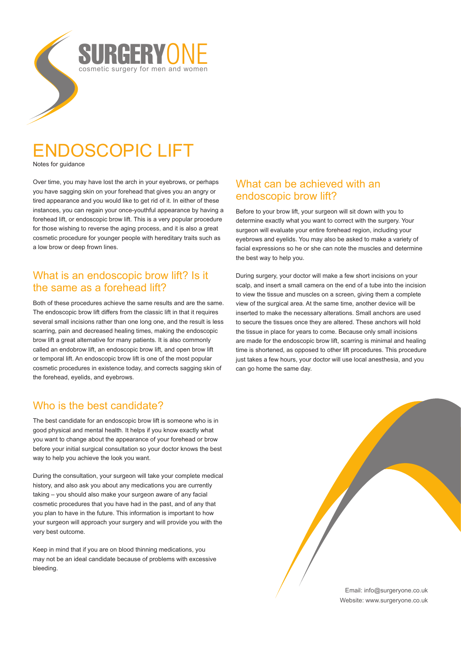# REERVO cosmetic surgery for men and women

# ENDOSCOPIC LIFT

Notes for guidance

Over time, you may have lost the arch in your eyebrows, or perhaps you have sagging skin on your forehead that gives you an angry or tired appearance and you would like to get rid of it. In either of these instances, you can regain your once-youthful appearance by having a forehead lift, or endoscopic brow lift. This is a very popular procedure for those wishing to reverse the aging process, and it is also a great cosmetic procedure for younger people with hereditary traits such as a low brow or deep frown lines.

#### What is an endoscopic brow lift? Is it the same as a forehead lift?

Both of these procedures achieve the same results and are the same. The endoscopic brow lift differs from the classic lift in that it requires several small incisions rather than one long one, and the result is less scarring, pain and decreased healing times, making the endoscopic brow lift a great alternative for many patients. It is also commonly called an endobrow lift, an endoscopic brow lift, and open brow lift or temporal lift. An endoscopic brow lift is one of the most popular cosmetic procedures in existence today, and corrects sagging skin of the forehead, eyelids, and eyebrows.

## Who is the best candidate?

The best candidate for an endoscopic brow lift is someone who is in good physical and mental health. It helps if you know exactly what you want to change about the appearance of your forehead or brow before your initial surgical consultation so your doctor knows the best way to help you achieve the look you want.

During the consultation, your surgeon will take your complete medical history, and also ask you about any medications you are currently taking – you should also make your surgeon aware of any facial cosmetic procedures that you have had in the past, and of any that you plan to have in the future. This information is important to how your surgeon will approach your surgery and will provide you with the very best outcome.

Keep in mind that if you are on blood thinning medications, you may not be an ideal candidate because of problems with excessive bleeding.

#### What can be achieved with an endoscopic brow lift?

Before to your brow lift, your surgeon will sit down with you to determine exactly what you want to correct with the surgery. Your surgeon will evaluate your entire forehead region, including your eyebrows and eyelids. You may also be asked to make a variety of facial expressions so he or she can note the muscles and determine the best way to help you.

During surgery, your doctor will make a few short incisions on your scalp, and insert a small camera on the end of a tube into the incision to view the tissue and muscles on a screen, giving them a complete view of the surgical area. At the same time, another device will be inserted to make the necessary alterations. Small anchors are used to secure the tissues once they are altered. These anchors will hold the tissue in place for years to come. Because only small incisions are made for the endoscopic brow lift, scarring is minimal and healing time is shortened, as opposed to other lift procedures. This procedure just takes a few hours, your doctor will use local anesthesia, and you can go home the same day.

> Email: info@surgeryone.co.uk Website: www.surgeryone.co.uk